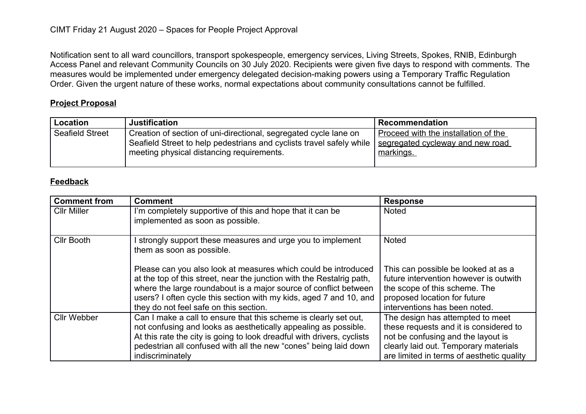Notification sent to all ward councillors, transport spokespeople, emergency services, Living Streets, Spokes, RNIB, Edinburgh Access Panel and relevant Community Councils on 30 July 2020. Recipients were given five days to respond with comments. The measures would be implemented under emergency delegated decision-making powers using a Temporary Traffic Regulation Order. Given the urgent nature of these works, normal expectations about community consultations cannot be fulfilled.

## **Project Proposal**

| Location               | <b>Justification</b>                                                                                                                                                                  | <b>Recommendation</b>                                                                 |
|------------------------|---------------------------------------------------------------------------------------------------------------------------------------------------------------------------------------|---------------------------------------------------------------------------------------|
| <b>Seafield Street</b> | Creation of section of uni-directional, segregated cycle lane on<br>Seafield Street to help pedestrians and cyclists travel safely while<br>meeting physical distancing requirements. | Proceed with the installation of the<br>segregated cycleway and new road<br>markings. |

## **Feedback**

| <b>Comment from</b> | <b>Comment</b>                                                                                                                                                                                                                                                                                                              | <b>Response</b>                                                                                                                                                                                        |
|---------------------|-----------------------------------------------------------------------------------------------------------------------------------------------------------------------------------------------------------------------------------------------------------------------------------------------------------------------------|--------------------------------------------------------------------------------------------------------------------------------------------------------------------------------------------------------|
| <b>CIIr Miller</b>  | I'm completely supportive of this and hope that it can be<br>implemented as soon as possible.                                                                                                                                                                                                                               | <b>Noted</b>                                                                                                                                                                                           |
| <b>CIIr Booth</b>   | strongly support these measures and urge you to implement<br>them as soon as possible.                                                                                                                                                                                                                                      | <b>Noted</b>                                                                                                                                                                                           |
|                     | Please can you also look at measures which could be introduced<br>at the top of this street, near the junction with the Restalrig path,<br>where the large roundabout is a major source of conflict between<br>users? I often cycle this section with my kids, aged 7 and 10, and<br>they do not feel safe on this section. | This can possible be looked at as a<br>future intervention however is outwith<br>the scope of this scheme. The<br>proposed location for future<br>interventions has been noted.                        |
| <b>Cllr Webber</b>  | Can I make a call to ensure that this scheme is clearly set out,<br>not confusing and looks as aesthetically appealing as possible.<br>At this rate the city is going to look dreadful with drivers, cyclists<br>pedestrian all confused with all the new "cones" being laid down<br>indiscriminately                       | The design has attempted to meet<br>these requests and it is considered to<br>not be confusing and the layout is<br>clearly laid out. Temporary materials<br>are limited in terms of aesthetic quality |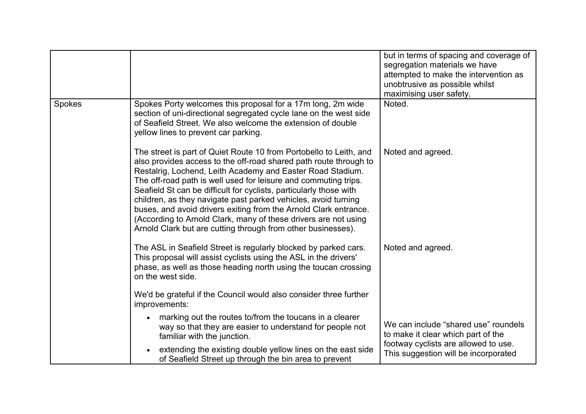|        |                                                                                                                                                                                                                                                                                                                                                                                                                                                                                                                                                                                                                         | but in terms of spacing and coverage of<br>segregation materials we have<br>attempted to make the intervention as<br>unobtrusive as possible whilst<br>maximising user safety. |
|--------|-------------------------------------------------------------------------------------------------------------------------------------------------------------------------------------------------------------------------------------------------------------------------------------------------------------------------------------------------------------------------------------------------------------------------------------------------------------------------------------------------------------------------------------------------------------------------------------------------------------------------|--------------------------------------------------------------------------------------------------------------------------------------------------------------------------------|
| Spokes | Spokes Porty welcomes this proposal for a 17m long, 2m wide<br>section of uni-directional segregated cycle lane on the west side<br>of Seafield Street. We also welcome the extension of double<br>yellow lines to prevent car parking.                                                                                                                                                                                                                                                                                                                                                                                 | Noted.                                                                                                                                                                         |
|        | The street is part of Quiet Route 10 from Portobello to Leith, and<br>also provides access to the off-road shared path route through to<br>Restalrig, Lochend, Leith Academy and Easter Road Stadium.<br>The off-road path is well used for leisure and commuting trips.<br>Seafield St can be difficult for cyclists, particularly those with<br>children, as they navigate past parked vehicles, avoid turning<br>buses, and avoid drivers exiting from the Arnold Clark entrance.<br>(According to Arnold Clark, many of these drivers are not using<br>Arnold Clark but are cutting through from other businesses). | Noted and agreed.                                                                                                                                                              |
|        | The ASL in Seafield Street is regularly blocked by parked cars.<br>This proposal will assist cyclists using the ASL in the drivers'<br>phase, as well as those heading north using the toucan crossing<br>on the west side.                                                                                                                                                                                                                                                                                                                                                                                             | Noted and agreed.                                                                                                                                                              |
|        | We'd be grateful if the Council would also consider three further<br>improvements:                                                                                                                                                                                                                                                                                                                                                                                                                                                                                                                                      |                                                                                                                                                                                |
|        | marking out the routes to/from the toucans in a clearer<br>way so that they are easier to understand for people not<br>familiar with the junction.                                                                                                                                                                                                                                                                                                                                                                                                                                                                      | We can include "shared use" roundels<br>to make it clear which part of the<br>footway cyclists are allowed to use.<br>This suggestion will be incorporated                     |
|        | extending the existing double yellow lines on the east side<br>of Seafield Street up through the bin area to prevent                                                                                                                                                                                                                                                                                                                                                                                                                                                                                                    |                                                                                                                                                                                |